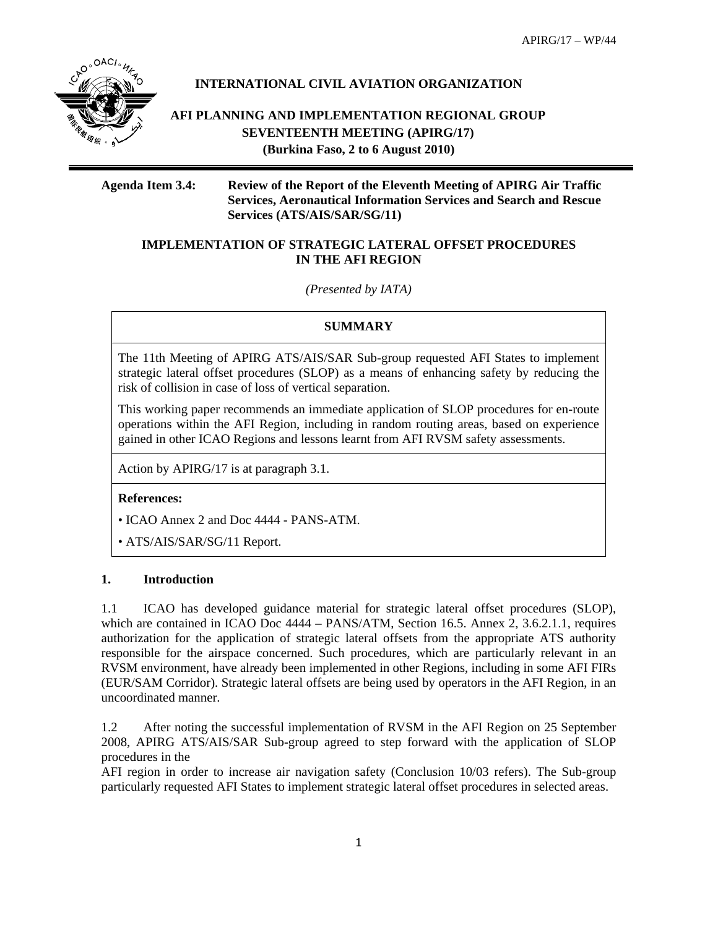APIRG/17 – WP/44



# **INTERNATIONAL CIVIL AVIATION ORGANIZATION**

**AFI PLANNING AND IMPLEMENTATION REGIONAL GROUP SEVENTEENTH MEETING (APIRG/17) (Burkina Faso, 2 to 6 August 2010)** 

**Agenda Item 3.4: Review of the Report of the Eleventh Meeting of APIRG Air Traffic Services, Aeronautical Information Services and Search and Rescue Services (ATS/AIS/SAR/SG/11)** 

### **IMPLEMENTATION OF STRATEGIC LATERAL OFFSET PROCEDURES IN THE AFI REGION**

*(Presented by IATA)* 

### **SUMMARY**

The 11th Meeting of APIRG ATS/AIS/SAR Sub-group requested AFI States to implement strategic lateral offset procedures (SLOP) as a means of enhancing safety by reducing the risk of collision in case of loss of vertical separation.

This working paper recommends an immediate application of SLOP procedures for en-route operations within the AFI Region, including in random routing areas, based on experience gained in other ICAO Regions and lessons learnt from AFI RVSM safety assessments.

Action by APIRG/17 is at paragraph 3.1.

#### **References:**

• ICAO Annex 2 and Doc 4444 - PANS-ATM.

• ATS/AIS/SAR/SG/11 Report.

### **1. Introduction**

1.1 ICAO has developed guidance material for strategic lateral offset procedures (SLOP), which are contained in ICAO Doc 4444 – PANS/ATM, Section 16.5. Annex 2, 3.6.2.1.1, requires authorization for the application of strategic lateral offsets from the appropriate ATS authority responsible for the airspace concerned. Such procedures, which are particularly relevant in an RVSM environment, have already been implemented in other Regions, including in some AFI FIRs (EUR/SAM Corridor). Strategic lateral offsets are being used by operators in the AFI Region, in an uncoordinated manner.

1.2 After noting the successful implementation of RVSM in the AFI Region on 25 September 2008, APIRG ATS/AIS/SAR Sub-group agreed to step forward with the application of SLOP procedures in the

AFI region in order to increase air navigation safety (Conclusion 10/03 refers). The Sub-group particularly requested AFI States to implement strategic lateral offset procedures in selected areas.